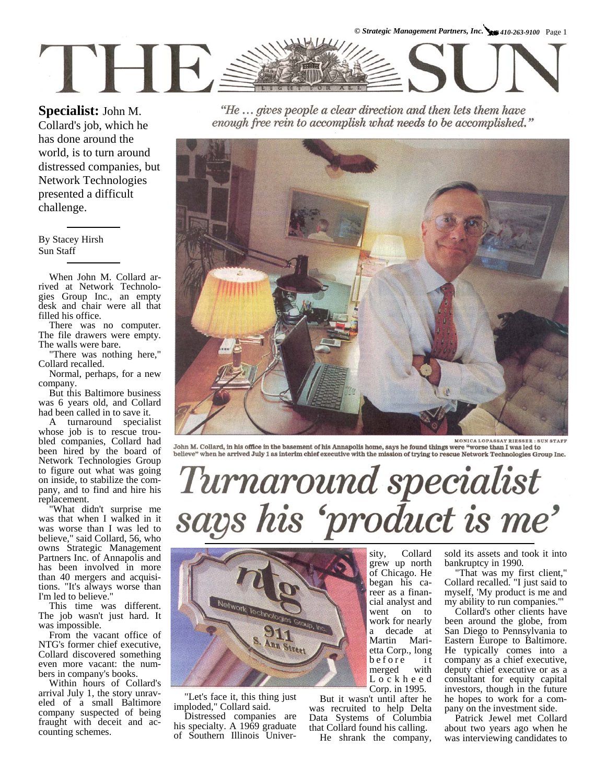**Specialist:** John M.

Collard's job, which he has done around the world, is to turn around distressed companies, but Network Technologies presented a difficult challenge.

By Stacey Hirsh Sun Staff

When John M. Collard arrived at Network Technologies Group Inc., an empty desk and chair were all that filled his office.

There was no computer. The file drawers were empty. The walls were bare.

"There was nothing here," Collard recalled.

Normal, perhaps, for a new company.

But this Baltimore business was 6 years old, and Collard had been called in to save it.

A turnaround specialist whose job is to rescue troubled companies, Collard had been hired by the board of Network Technologies Group to figure out what was going on inside, to stabilize the company, and to find and hire his replacement.

"What didn't surprise me was that when I walked in it was worse than I was led to believe," said Collard, 56, who owns Strategic Management Partners Inc. of Annapolis and has been involved in more than 40 mergers and acquisitions. "It's always worse than I'm led to believe."

This time was different. The job wasn't just hard. It was impossible.

From the vacant office of NTG's former chief executive, Collard discovered something even more vacant: the numbers in company's books.

Within hours of Collard's arrival July 1, the story unraveled of a small Baltimore company suspected of being fraught with deceit and accounting schemes.

"He ... gives people a clear direction and then lets them have enough free rein to accomplish what needs to be accomplished."



**MONICA LOPASSAY RIESSER: SUN STAFF** John M. Collard, in his office in the basement of his Annapolis home, says he found things were "worse than I was led to believe" when he arrived July 1 as interim chief executive with the mission of trying to rescue Network Technologies Group Inc.

## Turnaround specialist<br>says his 'product is me'



"Let's face it, this thing just imploded," Collard said.

Distressed companies are his specialty. A 1969 graduate of Southern Illinois Univer-

sity, Collard grew up north of Chicago. He began his career as a financial analyst and went on to work for nearly a decade at Martin Marietta Corp., long before it merged with L o c k h e e d Corp. in 1995.

But it wasn't until after he was recruited to help Delta Data Systems of Columbia that Collard found his calling.

He shrank the company,

sold its assets and took it into bankruptcy in 1990.

"That was my first client," Collard recalled. "I just said to myself, 'My product is me and my ability to run companies.'"

Collard's other clients have been around the globe, from San Diego to Pennsylvania to Eastern Europe to Baltimore. He typically comes into a company as a chief executive, deputy chief executive or as a consultant for equity capital investors, though in the future he hopes to work for a company on the investment side.

Patrick Jewel met Collard about two years ago when he was interviewing candidates to